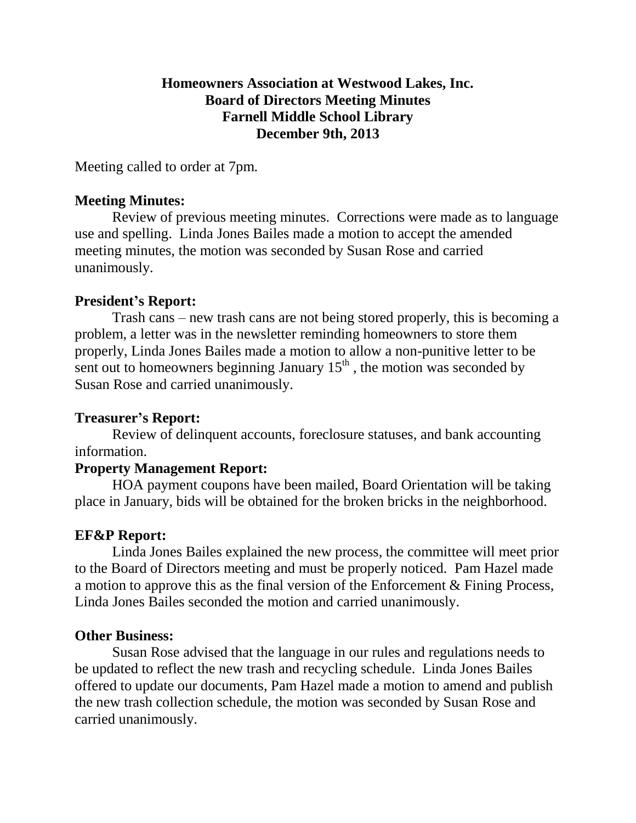#### **Homeowners Association at Westwood Lakes, Inc. Board of Directors Meeting Minutes Farnell Middle School Library December 9th, 2013**

Meeting called to order at 7pm.

#### **Meeting Minutes:**

Review of previous meeting minutes. Corrections were made as to language use and spelling. Linda Jones Bailes made a motion to accept the amended meeting minutes, the motion was seconded by Susan Rose and carried unanimously.

# **President's Report:**

Trash cans – new trash cans are not being stored properly, this is becoming a problem, a letter was in the newsletter reminding homeowners to store them properly, Linda Jones Bailes made a motion to allow a non-punitive letter to be sent out to homeowners beginning January  $15<sup>th</sup>$ , the motion was seconded by Susan Rose and carried unanimously.

# **Treasurer's Report:**

Review of delinquent accounts, foreclosure statuses, and bank accounting information.

# **Property Management Report:**

HOA payment coupons have been mailed, Board Orientation will be taking place in January, bids will be obtained for the broken bricks in the neighborhood.

# **EF&P Report:**

Linda Jones Bailes explained the new process, the committee will meet prior to the Board of Directors meeting and must be properly noticed. Pam Hazel made a motion to approve this as the final version of the Enforcement & Fining Process, Linda Jones Bailes seconded the motion and carried unanimously.

# **Other Business:**

Susan Rose advised that the language in our rules and regulations needs to be updated to reflect the new trash and recycling schedule. Linda Jones Bailes offered to update our documents, Pam Hazel made a motion to amend and publish the new trash collection schedule, the motion was seconded by Susan Rose and carried unanimously.